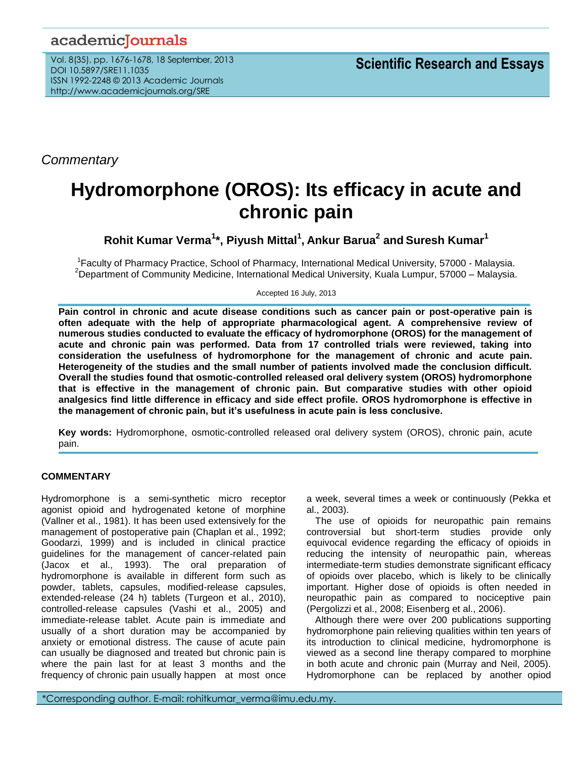## academicJournals

Vol. 8(35), pp. 1676-1678, 18 September, 2013 DOI 10.5897/SRE11.1035 ISSN 1992-2248 © 2013 Academic Journals http://www.academicjournals.org/SRE

*Commentary*

## **Hydromorphone (OROS): Its efficacy in acute and chronic pain**

**Rohit Kumar Verma<sup>1</sup> \*, Piyush Mittal<sup>1</sup> , Ankur Barua<sup>2</sup> and Suresh Kumar<sup>1</sup>**

<sup>1</sup> Faculty of Pharmacy Practice, School of Pharmacy, International Medical University, 57000 - Malaysia. <sup>2</sup>Department of Community Medicine, International Medical University, Kuala Lumpur, 57000 – Malaysia.

Accepted 16 July, 2013

**Pain control in chronic and acute disease conditions such as cancer pain or post-operative pain is often adequate with the help of appropriate pharmacological agent. A comprehensive review of numerous studies conducted to evaluate the efficacy of hydromorphone (OROS) for the management of acute and chronic pain was performed. Data from 17 controlled trials were reviewed, taking into consideration the usefulness of hydromorphone for the management of chronic and acute pain. Heterogeneity of the studies and the small number of patients involved made the conclusion difficult. Overall the studies found that osmotic-controlled released oral delivery system (OROS) hydromorphone that is effective in the management of chronic pain. But comparative studies with other opioid analgesics find little difference in efficacy and side effect profile. OROS hydromorphone is effective in the management of chronic pain, but it's usefulness in acute pain is less conclusive.**

**Key words:** Hydromorphone, osmotic-controlled released oral delivery system (OROS), chronic pain, acute pain.

## **COMMENTARY**

Hydromorphone is a semi-synthetic micro receptor agonist opioid and hydrogenated ketone of morphine (Vallner et al., 1981). It has been used extensively for the management of postoperative pain (Chaplan et al., 1992; Goodarzi, 1999) and is included in clinical practice guidelines for the management of cancer-related pain (Jacox et al., 1993). The oral preparation of hydromorphone is available in different form such as powder, tablets, capsules, modified-release capsules, extended-release (24 h) tablets (Turgeon et al., 2010), controlled-release capsules (Vashi et al., 2005) and immediate-release tablet. Acute pain is immediate and usually of a short duration may be accompanied by anxiety or emotional distress. The cause of acute pain can usually be diagnosed and treated but chronic pain is where the pain last for at least 3 months and the frequency of chronic pain usually happen at most once a week, several times a week or continuously (Pekka et al., 2003).

The use of opioids for neuropathic pain remains controversial but short-term studies provide only equivocal evidence regarding the efficacy of opioids in reducing the intensity of neuropathic pain, whereas intermediate-term studies demonstrate significant efficacy of opioids over placebo, which is likely to be clinically important. Higher dose of opioids is often needed in neuropathic pain as compared to nociceptive pain (Pergolizzi et al., 2008; Eisenberg et al., 2006).

Although there were over 200 publications supporting hydromorphone pain relieving qualities within ten years of its introduction to clinical medicine, hydromorphone is viewed as a second line therapy compared to morphine in both acute and chronic pain (Murray and Neil, 2005). Hydromorphone can be replaced by another opiod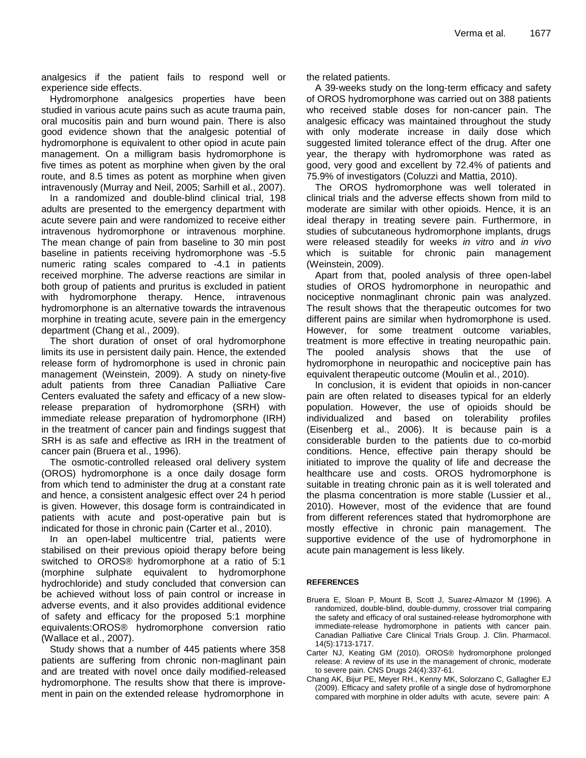analgesics if the patient fails to respond well or experience side effects.

Hydromorphone analgesics properties have been studied in various acute pains such as acute trauma pain, oral mucositis pain and burn wound pain. There is also good evidence shown that the analgesic potential of hydromorphone is equivalent to other opiod in acute pain management. On a milligram basis hydromorphone is five times as potent as morphine when given by the oral route, and 8.5 times as potent as morphine when given intravenously (Murray and Neil, 2005; Sarhill et al., 2007).

In a randomized and double-blind clinical trial, 198 adults are presented to the emergency department with acute severe pain and were randomized to receive either intravenous hydromorphone or intravenous morphine. The mean change of pain from baseline to 30 min post baseline in patients receiving hydromorphone was -5.5 numeric rating scales compared to -4.1 in patients received morphine. The adverse reactions are similar in both group of patients and pruritus is excluded in patient with hydromorphone therapy. Hence, intravenous hydromorphone is an alternative towards the intravenous morphine in treating acute, severe pain in the emergency department (Chang et al., 2009).

The short duration of onset of oral hydromorphone limits its use in persistent daily pain. Hence, the extended release form of hydromorphone is used in chronic pain management (Weinstein, 2009). A study on ninety-five adult patients from three Canadian Palliative Care Centers evaluated the safety and efficacy of a new slowrelease preparation of hydromorphone (SRH) with immediate release preparation of hydromorphone (IRH) in the treatment of cancer pain and findings suggest that SRH is as safe and effective as IRH in the treatment of cancer pain (Bruera et al., 1996).

The osmotic-controlled released oral delivery system (OROS) hydromorphone is a once daily dosage form from which tend to administer the drug at a constant rate and hence, a consistent analgesic effect over 24 h period is given. However, this dosage form is contraindicated in patients with acute and post-operative pain but is indicated for those in chronic pain (Carter et al., 2010).

In an open-label multicentre trial, patients were stabilised on their previous opioid therapy before being switched to OROS® hydromorphone at a ratio of 5:1 (morphine sulphate equivalent to hydromorphone hydrochloride) and study concluded that conversion can be achieved without loss of pain control or increase in adverse events, and it also provides additional evidence of safety and efficacy for the proposed 5:1 morphine equivalents:OROS® hydromorphone conversion ratio (Wallace et al., 2007).

Study shows that a number of 445 patients where 358 patients are suffering from chronic non-maglinant pain and are treated with novel once daily modified-released hydromorphone. The results show that there is improvement in pain on the extended release hydromorphone in

the related patients.

A 39-weeks study on the long-term efficacy and safety of OROS hydromorphone was carried out on 388 patients who received stable doses for non-cancer pain. The analgesic efficacy was maintained throughout the study with only moderate increase in daily dose which suggested limited tolerance effect of the drug. After one year, the therapy with hydromorphone was rated as good, very good and excellent by 72.4% of patients and 75.9% of investigators (Coluzzi and Mattia, 2010).

The OROS hydromorphone was well tolerated in clinical trials and the adverse effects shown from mild to moderate are similar with other opioids. Hence, it is an ideal therapy in treating severe pain. Furthermore, in studies of subcutaneous hydromorphone implants, drugs were released steadily for weeks *in vitro* and *in vivo* which is suitable for chronic pain management (Weinstein, 2009).

Apart from that, pooled analysis of three open-label studies of OROS hydromorphone in neuropathic and nociceptive nonmaglinant chronic pain was analyzed. The result shows that the therapeutic outcomes for two different pains are similar when hydromorphone is used. However, for some treatment outcome variables, treatment is more effective in treating neuropathic pain. The pooled analysis shows that the use of hydromorphone in neuropathic and nociceptive pain has equivalent therapeutic outcome (Moulin et al., 2010).

In conclusion, it is evident that opioids in non-cancer pain are often related to diseases typical for an elderly population. However, the use of opioids should be individualized and based on tolerability profiles (Eisenberg et al., 2006). It is because pain is a considerable burden to the patients due to co-morbid conditions. Hence, effective pain therapy should be initiated to improve the quality of life and decrease the healthcare use and costs. OROS hydromorphone is suitable in treating chronic pain as it is well tolerated and the plasma concentration is more stable (Lussier et al., 2010). However, most of the evidence that are found from different references stated that hydromorphone are mostly effective in chronic pain management. The supportive evidence of the use of hydromorphone in acute pain management is less likely.

## **REFERENCES**

- Bruera E, Sloan P, Mount B, Scott J, Suarez-Almazor M (1996). A randomized, double-blind, double-dummy, crossover trial comparing the safety and efficacy of oral sustained-release hydromorphone with immediate-release hydromorphone in patients with cancer pain. Canadian Palliative Care Clinical Trials Group. J. Clin. Pharmacol. 14(5):1713-1717.
- Carter NJ, Keating GM (2010). OROS® hydromorphone prolonged release: A review of its use in the management of chronic, moderate to severe pain. CNS Drugs 24(4):337-61.
- Chang AK, Bijur PE, Meyer RH., Kenny MK, Solorzano C, Gallagher EJ (2009). Efficacy and safety profile of a single dose of hydromorphone compared with morphine in older adults with acute, severe pain: A